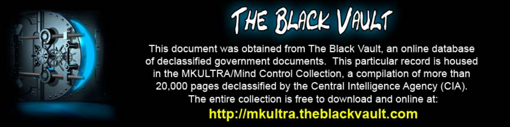

This document was obtained from The Black Vault, an online database of declassified government documents. This particular record is housed in the MKULTRA/Mind Control Collection, a compilation of more than 20,000 pages declassified by the Central Intelligence Agency (CIA). The entire collection is free to download and online at: http://mkultra.theblackvault.com